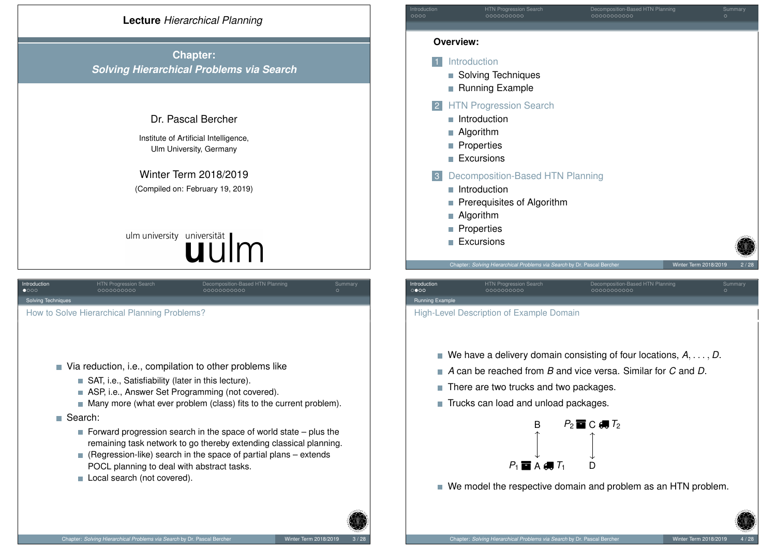

**Chapter:** *Solving Hierarchical Problems via Search*

#### Dr. Pascal Bercher

Institute of Artificial Intelligence, Ulm University, Germany

Winter Term 2018/2019 (Compiled on: February 19, 2019)

# ulm university universität

<span id="page-0-0"></span>

| Introduction<br>$\bullet$ 000                                                                                                                                                                                                                                                                   | <b>HTN Progression Search</b><br>0000000000  | Decomposition-Based HTN Planning<br>00000000000 | Summary<br>$\circ$ |  |
|-------------------------------------------------------------------------------------------------------------------------------------------------------------------------------------------------------------------------------------------------------------------------------------------------|----------------------------------------------|-------------------------------------------------|--------------------|--|
| <b>Solving Techniques</b>                                                                                                                                                                                                                                                                       |                                              |                                                 |                    |  |
|                                                                                                                                                                                                                                                                                                 | How to Solve Hierarchical Planning Problems? |                                                 |                    |  |
| Via reduction, i.e., compilation to other problems like<br>SAT, i.e., Satisfiability (later in this lecture).<br>ASP, i.e., Answer Set Programming (not covered).<br><b>I</b><br>$\blacksquare$ Many more (what ever problem (class) fits to the current problem).                              |                                              |                                                 |                    |  |
|                                                                                                                                                                                                                                                                                                 | Search:                                      |                                                 |                    |  |
| Forward progression search in the space of world state $-$ plus the<br>remaining task network to go thereby extending classical planning.<br>(Regression-like) search in the space of partial plans – extends<br>H<br>POCL planning to deal with abstract tasks.<br>Local search (not covered). |                                              |                                                 |                    |  |



#### Running Example

High-Level Description of Example Domain

- We have a delivery domain consisting of four locations,  $A, \ldots, D$ .
- *A* can be reached from *B* and vice versa. Similar for *C* and *D*.
- There are two trucks and two packages.
- Trucks can load and unload packages.



■ We model the respective domain and problem as an HTN problem.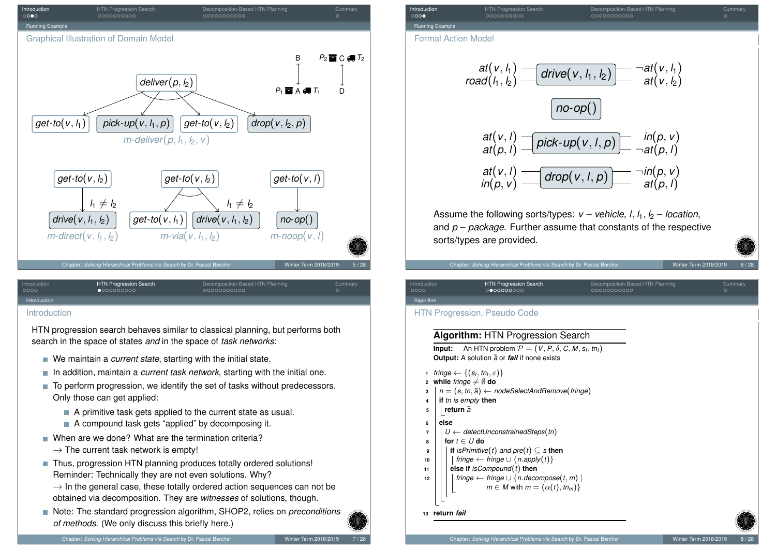

#### <span id="page-1-0"></span>[Introd](#page-0-0)uction

HTN progression search behaves similar to classical planning, but performs both search in the space of states *and* in the space of *task networks*:

- We maintain a *current state*, starting with the initial state.
- In addition, maintain a *current task network*, starting with the initial one.
- To perform progression, we identify the set of tasks without predecessors. Only those can get applied:
	- A primitive task gets applied to the current state as usual.
	- A compound task gets "applied" by decomposing it.
- When are we done? What are the termination criteria?
	- $\rightarrow$  The current task network is empty!
- Thus, progression HTN planning produces totally ordered solutions! Reminder: Technically they are not even solutions. Why?
	- $\rightarrow$  In the general case, these totally ordered action sequences can not be obtained via decomposition. They are *witnesses* of solutions, though.
- Note: The standard progression algorithm, SHOP2, relies on *preconditions of methods*. (We only discuss this briefly here.)

Introduction HTN Progression Search Decomposition-Based HTN Planning Summary Running Example

Formal Action Model

$$
at(v, h1)
$$
  
\n
$$
road(h, h2)
$$
  
\n
$$
and(h, h2)
$$
  
\n
$$
at(v, h1)
$$
  
\n
$$
at(v, h)\n
$$
at(p, h)
$$
  
\n
$$
int(c, h, p)\n
$$
at(p, h)\n
$$
at(v, h)\n
$$
at(p, h)\n
$$
at(v, h)\n
$$
at(p, h)\n
$$
at(v, h)\n
$$
at(p, h)\n
$$
at(p, h)\n
$$
at(p, h)\n
$$
at(p, h)\n
$$
at(p, h)\n
$$
at(p, h)\n
$$
at(p, h)\n
$$
at(p, h)\n
$$
at(p, h)\n
$$
at(p, h)\n
$$
at(p, h)\n
$$
at(p, h)\n
$$
at(p, h)\n
$$
at(p, h)\n
$$
at(p, h)\n
$$
at(p, h)\n
$$
at(p, h)\n
$$
at(p, h)\n
$$
at(p, h)\n
$$
at(p, h)\n
$$
at(p, h)\n
$$
at(p, h)\n
$$
at(p, h)\n
$$
at(p, h)\n
$$
at(p, h)\n
$$
at(p, h)\n
$$
at(p, h)\n
$$
at(p, h)\n
$$
at(p, h)\n
$$
at(p, h)\n
$$
at(p, h)\n
$$
at(p, h)\n
$$
at(p, h)\n
$$
at(p, h)\n
$$
at(p, h)\n
$$
at(p, h)\n
$$
at(p, h)\n
$$
at(p, h)\n
$$
at(p, h)<
$$
$$
$$
$$
$$
$$
$$
$$
$$
$$
$$
$$
$$
$$
$$
$$
$$
$$
$$
$$
$$
$$
$$
$$
$$
$$
$$
$$
$$
$$
$$
$$
$$
$$
$$
$$
$$
$$
$$
$$
$$
$$
$$
$$
$$
$$
$$

Assume the following sorts/types:  $v -$  *vehicle*,  $l$ ,  $l_1$ ,  $l_2 -$  *location*, and *p* – *package*. Further assume that constants of the respective sorts/types are provided.

#### Chapter: *Solving Hierarchical Problems via Search* by Dr. Pascal Bercher Winter Winter Term 2018/2019

ntroduction **HTN Progression Search Decomposition-Based HTN Plann**<br>1990 - Decomposition-Based HTN Planning Summary Summary Summary Summary Summary

## Algorith

## HTN Progression, Pseudo Code

#### **Algorithm:** HTN Progression Search

**Input:** An HTN problem  $\mathcal{P} = (\mathcal{V}, P, \delta, C, M, s_l, tn_l)$ **Output:** A solution  $\overline{a}$  or *fail* if none exists

- **1** *fringe*  $\leftarrow \{(s_l, tn_l, \varepsilon)\}$
- *x* While *fringe*  $\neq$   $\emptyset$  do
- $n = (s, tn, \overline{a}) \leftarrow nodeSelectAndRemove(fringe)$
- **<sup>4</sup> if** *tn is empty* **then**
- **<sup>5</sup> return** ¯*a*
- **<sup>6</sup> else**
- **<sup>7</sup>** *U* ← *detectUnconstrainedSteps*(*tn*)
- **<sup>8</sup> for** *t* ∈ *U* **do**
- **<sup>9</sup> if** *isPrimitive*(*t*) *and pre*(*t*) ⊆ *s* **then**
- **10**  $\vert$   $\vert$   $\vert$   $\vert$  *fringe* ← *fringe* ∪ {*n*.*apply*(*t*)}
- **<sup>11</sup> else if** *isCompound*(*t*) **then**
- **12**  $\vert$   $\vert$   $\vert$   $\vert$  *fringe* ← *fringe* ∪ {*n*.*decompose*(*t*, *m*)  $\vert$  $m \in M$  with  $m = (\alpha(t), t n_m)$ 
	-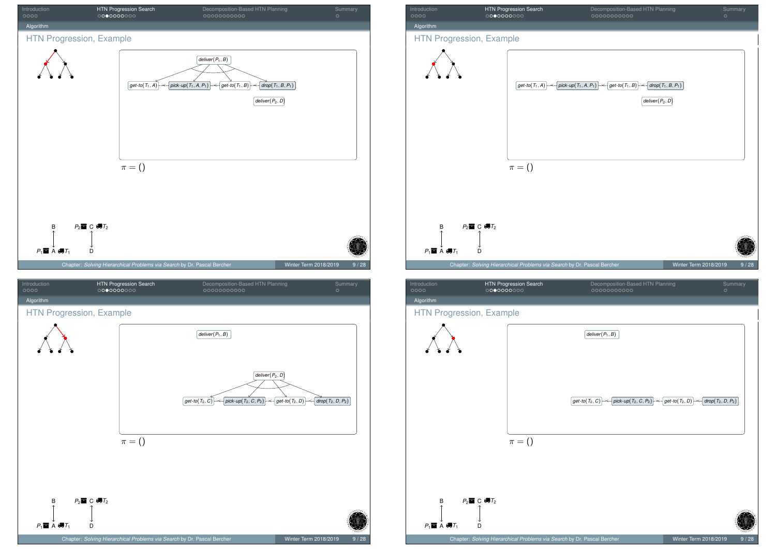<span id="page-2-0"></span>



# Algorithm HTN Progression, Example  $\boxed{$ *deliver* $(P_1, B)$  $g$ et-*to*(*T*<sub>2</sub>, *C*)  $\mapsto$   $\mapsto$   $\mid$  pick-up(*T*<sub>2</sub>, *C*, *P*<sub>2</sub>)  $\mid \mapsto$   $\mid$  get-to(*T*<sub>2</sub>, *D*)  $\mid \mapsto$   $\mid$  drop(*T*<sub>2</sub>, *D*, *P*<sub>2</sub>)  $\pi = ()$

 $P_1 \blacksquare$  A  $\blacksquare$  $T_1$  D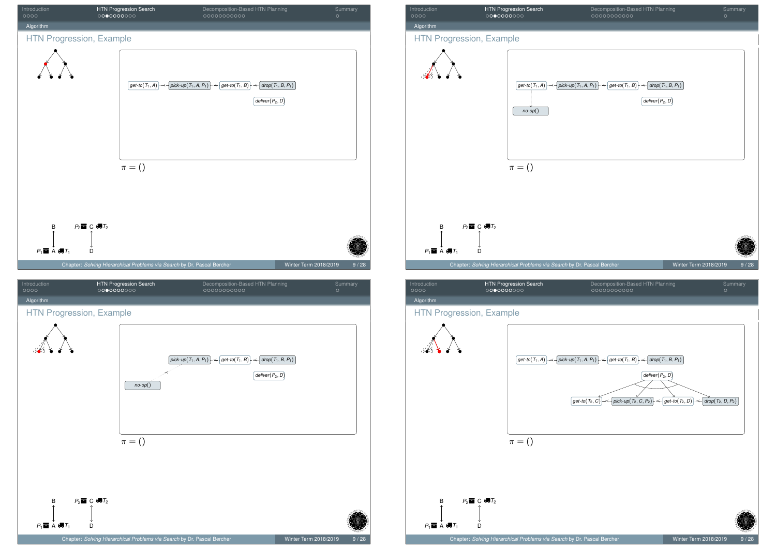



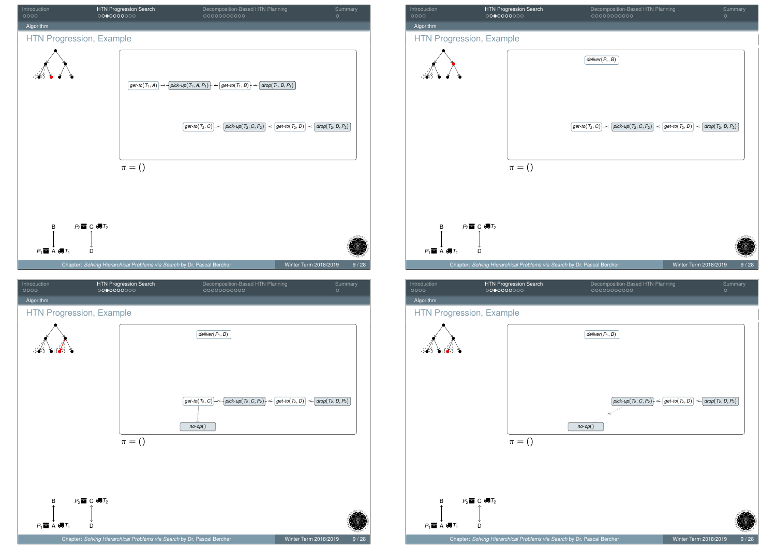





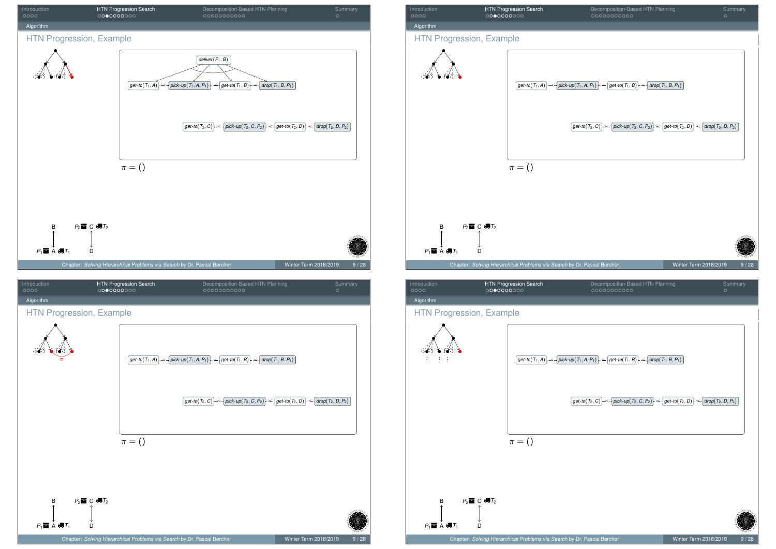

# Introduction HTN Progression Search Decomposition-Based HTN Planning Summary Algorithm HTN Progression, Example  $get$ *-to*(*T*<sub>1</sub>, *A*)  $\mapsto$   $\uparrow$   $\uparrow$   $\uparrow$   $\uparrow$   $\uparrow$   $\uparrow$   $\uparrow$   $\uparrow$   $\uparrow$   $\uparrow$   $\uparrow$   $\uparrow$   $\uparrow$   $\uparrow$   $\uparrow$   $\uparrow$   $\uparrow$   $\uparrow$   $\uparrow$   $\uparrow$   $\uparrow$   $\uparrow$   $\uparrow$   $\uparrow$   $\uparrow$   $\uparrow$   $\uparrow$   $\uparrow$   $\uparrow$   $\uparrow$   $\uparrow$   $\uparrow$  *get-to*(*T*<sub>2</sub>, *C*) *| →*  $\rightarrow$  *pick-up*(*T*<sub>2</sub>, *C*, *P*<sub>2</sub>) *| → det-to*(*T*<sub>2</sub>, *D*) *| → drop*(*T*<sub>2</sub>, *D*, *P*<sub>2</sub>)  $\pi = ()$ B *P*<sub>2</sub>**ld** C ∉7<sub>2</sub>  $P_1 \blacksquare$  A  $\blacksquare$  $T_1$  D Chapter: *Solving Hierarchical Problems via Search* by Dr. Pascal Bercher Winter Term 2018/2019 9/28 Introduction HTN Progression Search Decomposition-Based HTN Planning Summary Algorithm HTN Progression, Example بمختبر . . . . . . . . .  $g$ et-to $(T_1, A)$   $\mapsto$   $\uparrow$   $p$ ick-up $(T_1, A, P_1)$   $\mapsto$   $\uparrow$   $g$ et-to $(T_1, B)$   $\mapsto$   $\uparrow$   $d$ rop $(T_1, B, P_1)$

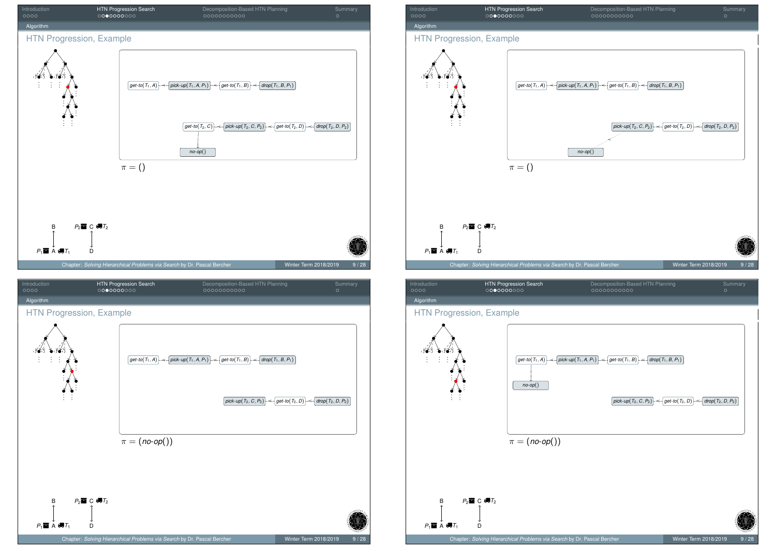

## Introduction HTN Progression Search Decomposition-Based HTN Planning Summary Algorithm HTN Progression, Example



| Introduction | <b>HTN Progression Search</b> | Decomposition-Based HTN Planning | Summary |
|--------------|-------------------------------|----------------------------------|---------|
| 0000         | 0000000000                    | 00000000000                      |         |
| Algorithm    |                               |                                  |         |

#### HTN Progression, Example

 $P_1 \blacksquare$  A  $\blacksquare$  $T_1$  D

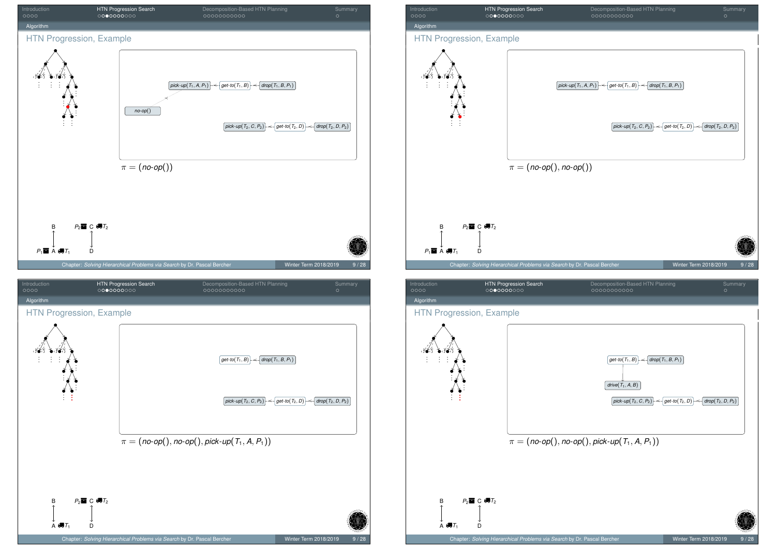







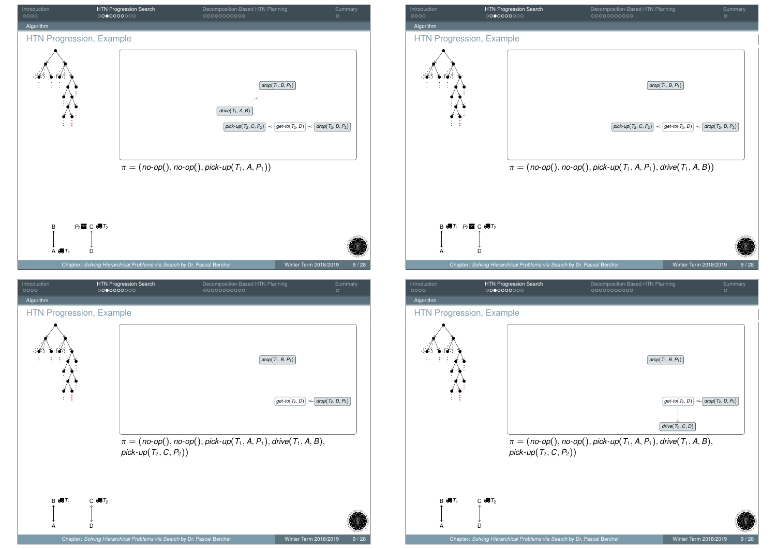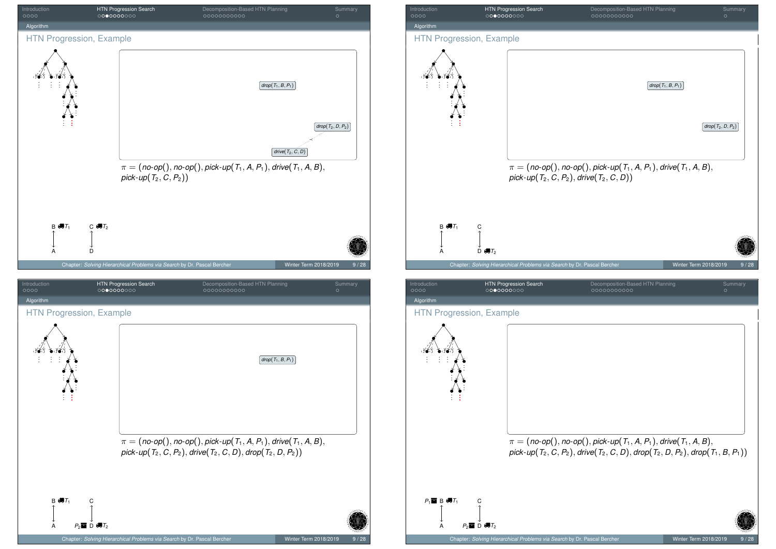<span id="page-9-0"></span>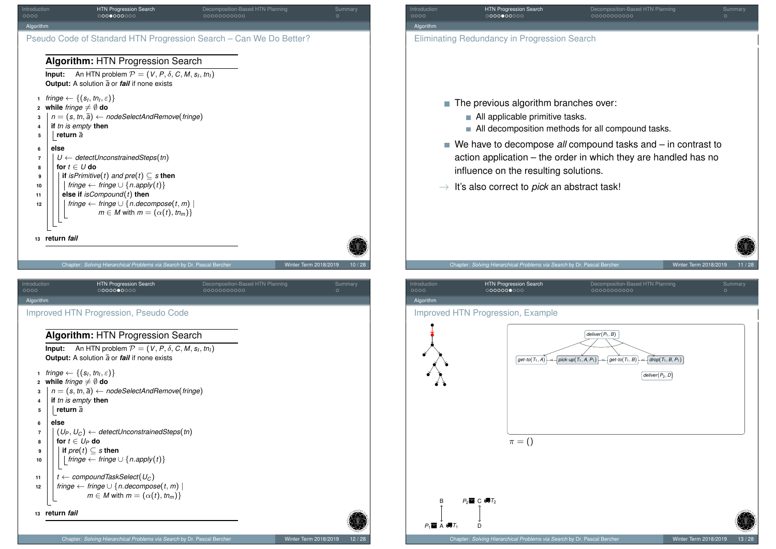<span id="page-10-0"></span>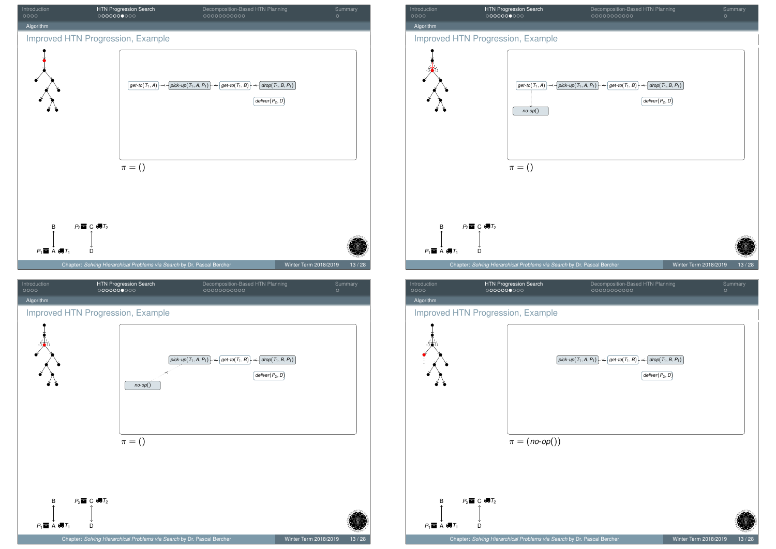



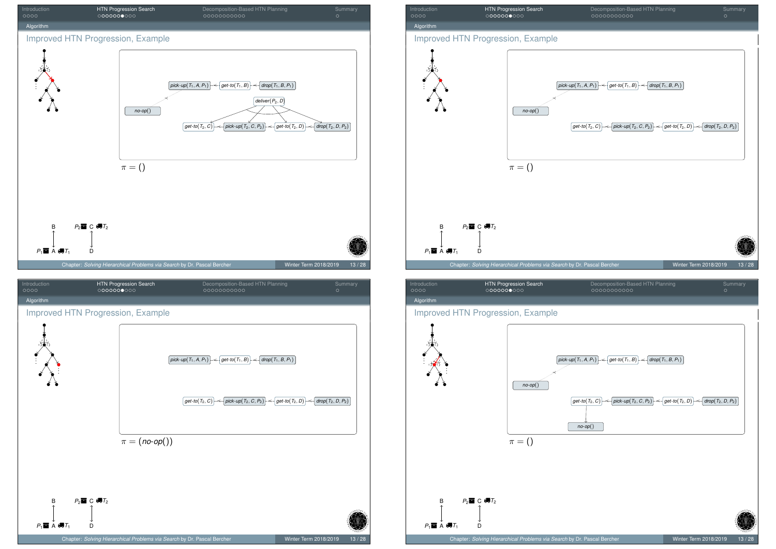



Algorithm

 $P_1 \blacksquare$  A  $\blacksquare$  $T_1$  D

#### Improved HTN Progression, Example

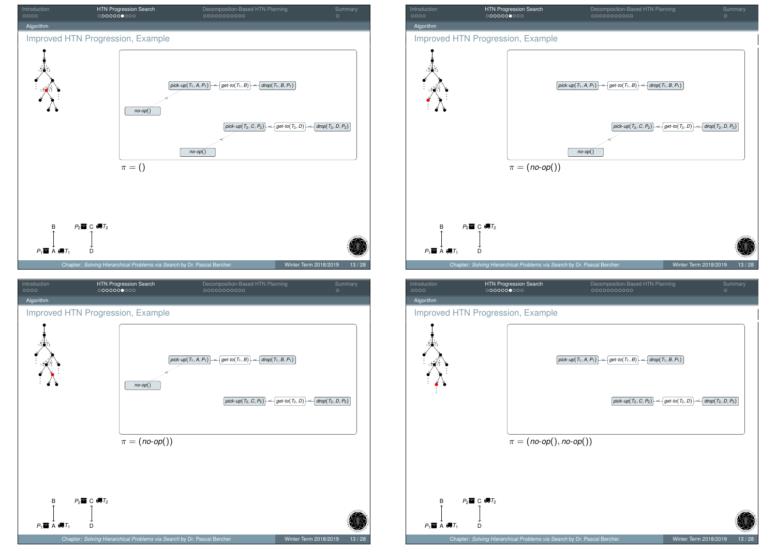





 $P_1 \blacksquare$  A  $\blacksquare$  $T_1$  D

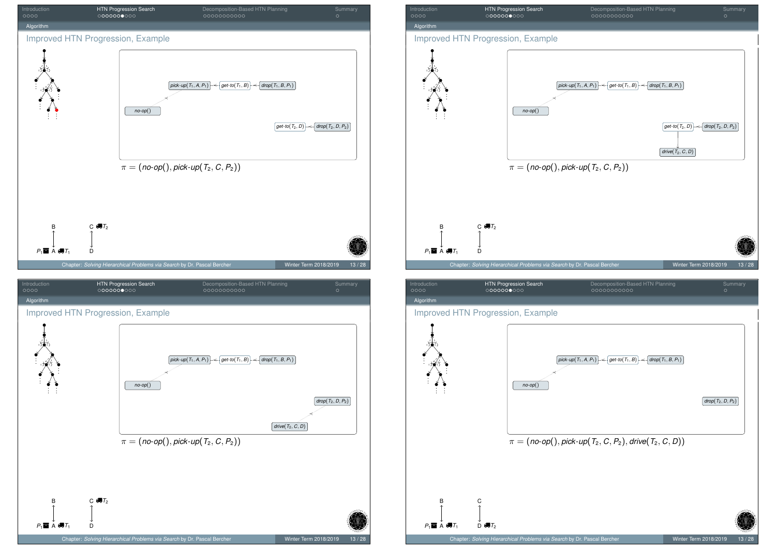



| Introduction | <b>HTN Progression Search</b> | Decomposition-Based HTN Planning | Summary |
|--------------|-------------------------------|----------------------------------|---------|
| 0000         | 0000000000                    | 00000000000                      |         |
| Algorithm    |                               |                                  |         |

#### Improved HTN Progression, Example

 $P_1$ **in** A  $\bigoplus T_1$  D  $\bigoplus T_2$ 

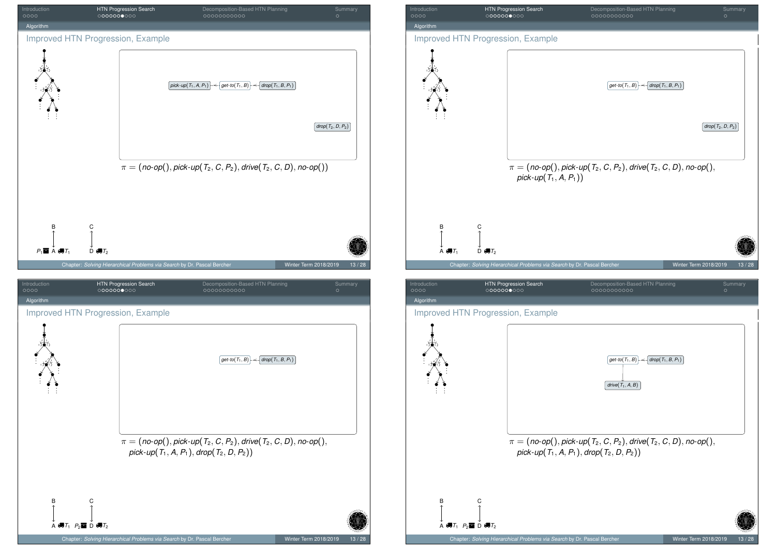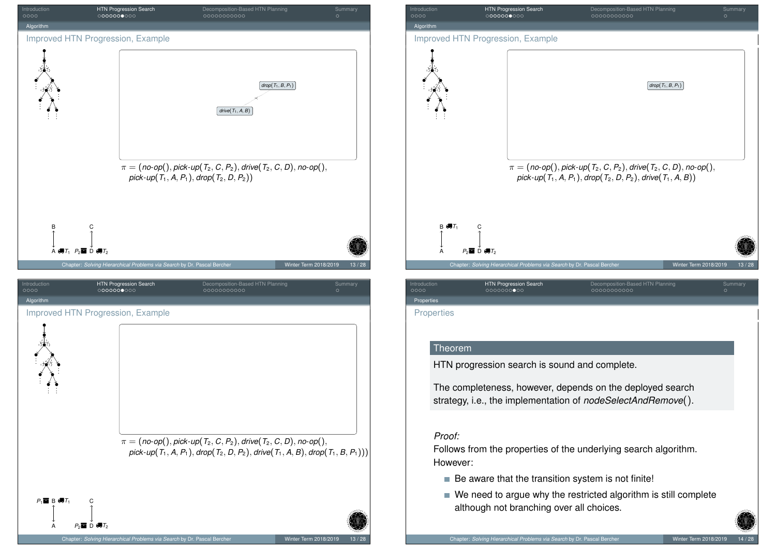<span id="page-16-0"></span>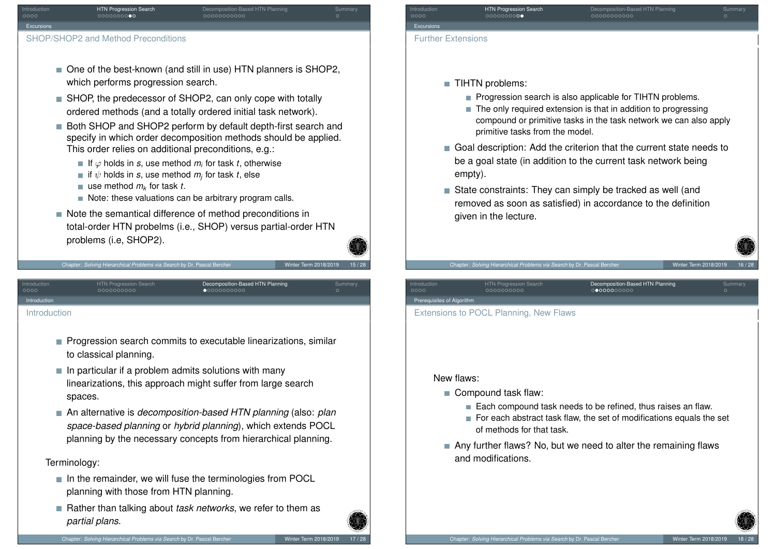

 $\blacksquare$  use method  $m_k$  for task *t*.

to classical planning.

spaces.

Terminology:

*partial plans*.

<span id="page-17-0"></span>[In](#page-0-0)troduction [Introductio](#page-17-0)n

ntroduction **HTN Progression Search** Decomposition-Based HTN Planning<br>COO DECOMPOSITION COO DECOMPOSITION COO DECOMPOSITION

- Note: these valuations can be arbitrary program calls.
- Note the semantical difference of method preconditions in total-order HTN probelms (i.e., SHOP) versus partial-order HTN problems (i.e, SHOP2).

Chapter: *Solving Hierarchical Problems via Search* by Dr. Pascal Bercher Winter Term 2018/2019

**Progression search commits to executable linearizations, similar** 

linearizations, this approach might suffer from large search

 $\blacksquare$  In the remainder, we will fuse the terminologies from POCL

■ Rather than talking about *task networks*, we refer to them as

An alternative is *decomposition-based HTN planning* (also: *plan space-based planning* or *hybrid planning*), which extends POCL planning by the necessary concepts from hierarchical planning.

 $\blacksquare$  In particular if a problem admits solutions with many

planning with those from HTN planning.

## Introduction **HTN Progression Search Decomposition-Based HTN Planning Summary** Summary Excursio Further Extensions

- **TIHTN** problems:
	- **Progression search is also applicable for TIHTN problems.**
	- The only required extension is that in addition to progressing compound or primitive tasks in the task network we can also apply primitive tasks from the model.
- Goal description: Add the criterion that the current state needs to be a goal state (in addition to the current task network being empty).
- State constraints: They can simply be tracked as well (and removed as soon as satisfied) in accordance to the definition given in the lecture.

New flaws:

Prerequisites of Algorit

■ Compound task flaw:

Extensions to POCL Planning, New Flaws

Chapter: *Solving Hierarchical Problems via Search* by Dr. Pascal E

Introduction HTN Progression Search Decomposition-Based HTN Planning Summary

- Each compound task needs to be refined, thus raises an flaw.
- $\blacksquare$  For each abstract task flaw, the set of modifications equals the set of methods for that task.
- Any further flaws? No, but we need to alter the remaining flaws and modifications.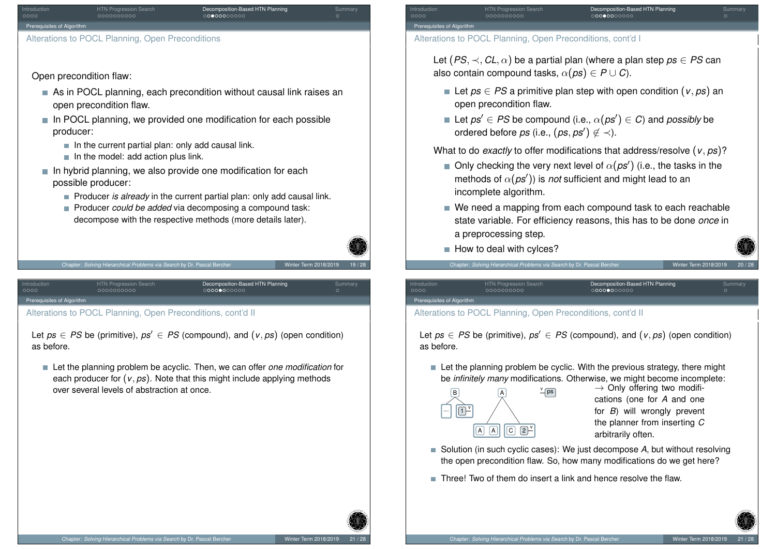

Open precondition flaw:

- As in POCL planning, each precondition without causal link raises an open precondition flaw.
- $\blacksquare$  In POCL planning, we provided one modification for each possible producer:
	- $\blacksquare$  In the current partial plan: only add causal link.
	- $\blacksquare$  In the model: add action plus link.
- $\blacksquare$  In hybrid planning, we also provide one modification for each possible producer:
	- **Producer** *is already* in the current partial plan: only add causal link.

Decomposition-Based HTN Planning<br>00000000000

**Producer** *could be added* via decomposing a compound task: decompose with the respective methods (more details later).



Chapter: *Solving Hierarchical Problems via Search* by Dr. Pascal Be

iisites of Algor

<span id="page-18-0"></span>[Alterations](#page-17-0) t[o P](#page-1-0)[OCL](#page-10-0) [Pl](#page-17-0)anning, Open P[re](#page-17-0)[con](#page-18-0)[dit](#page-19-0)[ions](#page-27-0), cont'd II

200000000

Let  $ps \in PS$  be (primitive),  $ps' \in PS$  (compound), and  $(v, ps)$  (open condition) as before.

Let the planning problem be acyclic. Then, we can offer *one modification* for each producer for  $(v, ps)$ . Note that this might include applying methods over several levels of abstraction at once.

ntroduction **HTN Progression Search** Decomposition-Based HTN Planning<br>COO COOD DOODOODOO COO COOOOOOO COOOOOOO Prerequisites of Algorit

Alterations to POCL Planning, Open Preconditions, cont'd I

Let  $(PS, \prec, CL, \alpha)$  be a partial plan (where a plan step  $ps \in PS$  can also contain compound tasks,  $\alpha$ (ps)  $\in$  P  $\cup$  C).

- Let *ps* ∈ *PS* a primitive plan step with open condition (*v*, *ps*) an open precondition flaw.
- Let  $\mathit{ps}' \in \mathit{PS}$  be compound (i.e.,  $\alpha(\mathit{ps}') \in \mathit{C}$ ) and  $\mathit{possibly}$  be ordered before  $ps$  (i.e.,  $(ps, ps') \not\in \prec$ ).

What to do *exactly* to offer modifications that address/resolve (*v*, *ps*)?

- Only checking the very next level of  $\alpha(\textit{ps}^{\prime})$  (i.e., the tasks in the methods of  $\alpha(\rho s')$ ) is *not* sufficient and might lead to an incomplete algorithm.
- We need a mapping from each compound task to each reachable state variable. For efficiency reasons, this has to be done *once* in a preprocessing step.
- $\blacksquare$  How to deal with cylces?

Introduction HTN Progression Search Decomposition-Based HTN Planning Summary Prerequisites of Algori

#### Alterations to POCL Planning, Open Preconditions, cont'd II

Chapter: *Solving Hierarchical Problems via Search* by Dr. Pascal Be

Let  $ps \in PS$  be (primitive),  $ps' \in PS$  (compound), and  $(v, ps)$  (open condition) as before.

Let the planning problem be cyclic. With the previous strategy, there might be *infinitely many* modifications. Otherwise, we might become incomplete:



 $\frac{v}{\sqrt{ps}}$   $\rightarrow$  Only offering two modifications (one for *A* and one for *B*) will wrongly prevent the planner from inserting *C* arbitrarily often.

- Solution (in such cyclic cases): We just decompose A, but without resolving the open precondition flaw. So, how many modifications do we get here?
- Three! Two of them do insert a link and hence resolve the flaw.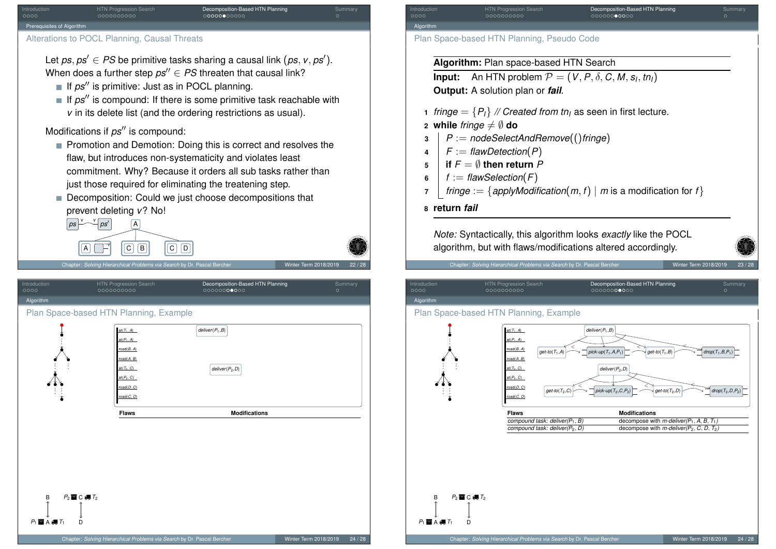

#### Alterations to POCL Planning, Causal Threats

Let  $ps, ps' \in PS$  be primitive tasks sharing a causal link  $(ps, v, ps').$ When does a further step  $ps'' \in PS$  threaten that causal link?

- If  $ps''$  is primitive: Just as in POCL planning.
- If  $ps''$  is compound: If there is some primitive task reachable with *v* in its delete list (and the ordering restrictions as usual).

#### Modifications if  $ps''$  is compound:

- **Promotion and Demotion: Doing this is correct and resolves the** flaw, but introduces non-systematicity and violates least commitment. Why? Because it orders all sub tasks rather than just those required for eliminating the treatening step.
- Decomposition: Could we just choose decompositions that prevent deleting *v*? No!





pter: *Solving Hierarchical Problems via Search* by Dr. Pascal Be

<span id="page-19-0"></span>Introduction HTN Progression Search Decomposition-Based HTN Planning Summary [Al](#page-0-0)gorithm [Plan Spac](#page-17-0)e-[ba](#page-1-0)[s](#page-2-0)[ed](#page-10-0) [H](#page-16-0)[TN](#page-17-0) Planning, Exa[m](#page-17-0)[ple](#page-18-0)  $\blacksquare$  A 4,  $\blacksquare$ B *P*<sup>1</sup> *T*<sup>1</sup> D  $P_2 \equiv C \equiv T_2$  $t(T_1, A)$ at(*P*1, *A*) road(*B*, *A*) ad(A, B) at(*T*2, *C*)  $f(P_2, C)$ road(*D*, *C*) road(*C*, *D*) *deliver*(*P*1,*B*) *deliver*(*P*2,*D*) . . . . . . . . . . . . . . . **Flaws** Modifications

Introduction HTN Progression Search Decomposition-Based HTN Planning Summary Algorit

Plan Space-based HTN Planning, Pseudo Code

**Algorithm:** Plan space-based HTN Search

**Input:** An HTN problem  $P = (V, P, \delta, C, M, s_l, tn_l)$ **Output:** A solution plan or *fail*.

- **1** *fringe* =  $\{P_l\}$  // *Created from tn<sub>l</sub>* as seen in first lecture.
- **2 while** *fringe*  $\neq$   $\emptyset$  **do**
- **<sup>3</sup>** *P* := *nodeSelectAndRemove*(()*fringe*)
- $\mathsf{F}$   $\mathsf{F}$   $\mathsf{F}$  *= flawDetection*( $\mathsf{P}$ )
- **5 if**  $F = \emptyset$  **then return**  $P$
- **6**  $\vert f \rangle := \text{flawSelection}(F)$
- **7** *fringe* := { $a$ *pplyModification* $(m, f)$  | *m* is a modification for *f*}
- **8 return** *fail*

*Note:* Syntactically, this algorithm looks *exactly* like the POCL algorithm, but with flaws/modifications altered accordingly.

Chapter: *Solving Hierarchical Problems via Search* by Dr. Pascal Bercher Winter Winter Term 2018/2019

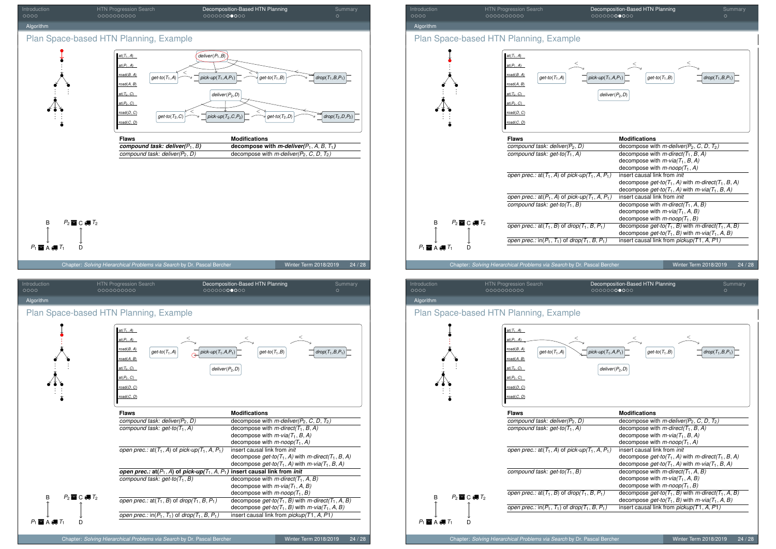



#### Introduction HTN Progression Search Decomposition-Based HTN Planning Summary Algorithm Plan Space-based HTN Planning, Example Chapter: *Solving Hierarchical Problems via Search* by Dr. Pascal Bercher Winter Term 2018/2019 24 / 28  $P_1 \blacksquare$  A  $\clubsuit$   $T_1$  D B  $P_2 \equiv C \equiv T_2$ at( $T_1$ , *A*) at(*P*1, *A*) road(*B*, *A*) road(*A*, *B*) at(*T*2, *C*) at(*P*2, *C*) oad(*D*, *C*) road(*C*, *D*)  $g$ et-to(*T*<sub>1</sub>,*A*) *pick-up***(***T***<sub>1</sub>,***A***,***P***<sub>1</sub>) <b>***get-to***(***T***<sub>1</sub>,***B***)** *drop***(***T***<sub>1</sub>,***B***,***P***<sub>1</sub>)**  $<$  and  $<$  and  $<$  and  $<$ *deliver*(*P*2,*D*) . . . . . . . . . . . . . . . **Flaws Modifications**<br> **COMPOUT COMPOUTE:** COMPOUTE: MODIFICATION **MODE COMPOUTE:** MODIFICATION *compound task: deliver(* $P_2$ *,*  $D$ *)* decompose with *m-deliver(* $P_2$ *, C, D, T<sub>2</sub>)*<br>*compound task: get-to(T<sub>1</sub>, A)* decompose with *m-direct(T<sub>1</sub>, B, A) compound task: get-to(T*1, *A)* decompose with *m-direct(T*1, *<sup>B</sup>*, *A)* decompose with *m-via(T*1, *<sup>B</sup>*, *A)* decompose with  $m$ -noop( $T_1$ , A) insert causal link from *init open prec.:* at( $T_1$ , *A*) of *pick-up*( $T_1$ , *A*,  $P_1$ ) decompose  $get-to(T_1, A)$  with  $m\text{-}direct(T_1, B, A)$ decompose  $get-to(T_1, A)$  with  $m-via(T_1, B, A)$ <br>insert causal link from *init open prec.:* at( $P_1$ , *A*) of *pick-up*( $T_1$ , *A*,  $P_1$ ) *compound task: get-to*( $T_1$ , *B*) *c*decompose with *m-direct*( $T_1$ ,  $A$ ,  $B$ ) decompose with  $m$ -via $(T_1, A, B)$ decompose with *m-noop(T*1, *B) open prec.:*  $at(T_1, B)$  of  $drop(T_1, B, P_1)$  decompose  $get-to(T_1, B)$  with *m-direct*( $T_1, A, B$ ) decompose  $get-to(T_1, B)$  with  $m-via(T_1, A, B)$ *open prec.:*  $\text{in}(P_1, T_1)$  of  $\text{drop}(T_1, B, P_1)$  insert causal link from *pickup*(*T*1, *A*, *P*1)

### Introduction HTN Progression Search Decomposition-Based HTN Planning Summary Algorith

#### Plan Space-based HTN Planning, Example

B

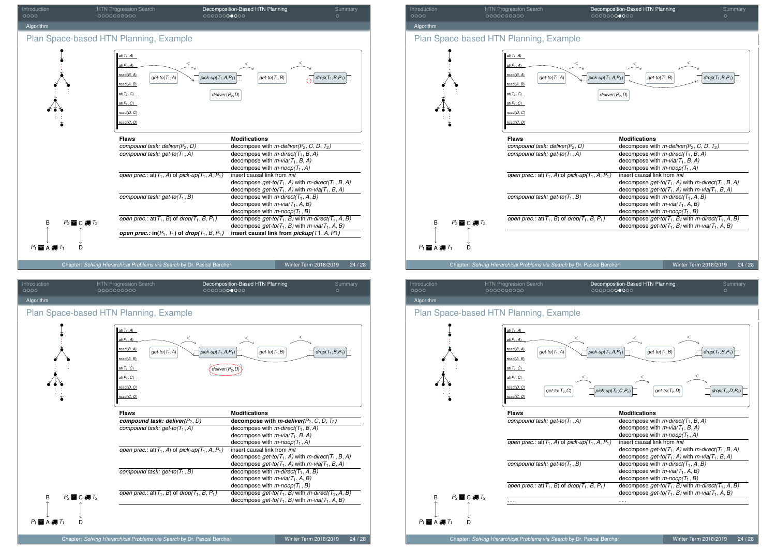| Introduction<br>0000           | HTN Progression Search<br>0000000000                                                                                                     | Decomposition-Based HTN Planning<br>00000000000                                | Summary<br>$\circ$             |
|--------------------------------|------------------------------------------------------------------------------------------------------------------------------------------|--------------------------------------------------------------------------------|--------------------------------|
| Algorithm                      |                                                                                                                                          |                                                                                |                                |
|                                | Plan Space-based HTN Planning, Example                                                                                                   |                                                                                |                                |
|                                | $at(T_1, A)$<br>$at(P_1, A)$<br>road(B, A)<br>$get-to(T_1, A)$<br>road(A, B)<br>$at(T_2, C)$<br>$at(P_2, C)$<br>road(D, C)<br>road(C, D) | <<br>pick-up( $T_1$ , $A$ , $P_1$ )<br>$get-to(T_1, B)$<br>$deliver(P_2, D)$   | $drop(T_1, B, P_1)$            |
|                                | <b>Flaws</b>                                                                                                                             | <b>Modifications</b>                                                           |                                |
|                                | compound task: deliver( $P_2$ , D)                                                                                                       | decompose with <i>m-deliver</i> ( $P_2$ , C, D, $T_2$ )                        |                                |
|                                | compound task: $get-to(T_1, A)$                                                                                                          | decompose with $m$ -direct( $T_1$ , B, A)                                      |                                |
|                                |                                                                                                                                          | decompose with $m$ -via( $T_1$ , B, A)                                         |                                |
|                                |                                                                                                                                          | decompose with $m$ -noop( $T_1$ , A)                                           |                                |
|                                | open prec.: at $(T_1, A)$ of pick-up $(T_1, A, P_1)$                                                                                     | insert causal link from init                                                   |                                |
|                                |                                                                                                                                          | decompose $get-to(T_1, A)$ with m-direct(T <sub>1</sub> , B, A)                |                                |
|                                |                                                                                                                                          | decompose get-to( $T_1$ , A) with $m$ -via( $T_1$ , B, A)                      |                                |
|                                | compound task: $get-to(T_1, B)$                                                                                                          | decompose with $m$ -direct( $T_1$ , A, B)                                      |                                |
|                                |                                                                                                                                          | decompose with $m$ -via( $T_1$ , A, B)<br>decompose with $m$ -noop( $T_1$ , B) |                                |
|                                | open prec.: at( $T_1$ , B) of drop( $T_1$ , B, $P_1$ )                                                                                   | decompose $get-to(T_1, B)$ with m-direct( $T_1, A, B$ )                        |                                |
| $P_2 \equiv C \equiv T_2$<br>B |                                                                                                                                          | decompose get-to( $T_1$ , B) with $m$ -via( $T_1$ , A, B)                      |                                |
|                                | open prec.: $in(P_1, T_1)$ of drop(T <sub>1</sub> , B, P <sub>1</sub> )                                                                  | insert causal link from pickup(T1, A, P1)                                      |                                |
|                                |                                                                                                                                          |                                                                                |                                |
| $P_1 \equiv A \equiv T_1$<br>D |                                                                                                                                          |                                                                                |                                |
|                                | Chapter: Solving Hierarchical Problems via Search by Dr. Pascal Bercher                                                                  |                                                                                | Winter Term 2018/2019<br>24/28 |
|                                |                                                                                                                                          |                                                                                |                                |

| Introduction<br>0000               | <b>HTN Progression Search</b><br>0000000000                                                                                               | Decomposition-Based HTN Planning<br>00000000000                                                                      | Summary<br>$\circ$  |
|------------------------------------|-------------------------------------------------------------------------------------------------------------------------------------------|----------------------------------------------------------------------------------------------------------------------|---------------------|
| Algorithm                          |                                                                                                                                           |                                                                                                                      |                     |
|                                    | Plan Space-based HTN Planning, Example                                                                                                    |                                                                                                                      |                     |
|                                    | at $(T_1, A)$<br>$at(P_1, A)$<br>road(B, A)<br>$get-to(T_1, A)$<br>road(A, B)<br>$at(T_2, C)$<br>$at(P_2, C)$<br>road(D, C)<br>road(C, D) | pick-up( $T_1, A, P_1$ )<br>$get-to(T_1, B)$<br>deliver $(P_2, D)$                                                   | $drop(T_1, B, P_1)$ |
|                                    | <b>Flaws</b>                                                                                                                              | <b>Modifications</b>                                                                                                 |                     |
|                                    | compound task: deliver( $P_2$ , D)                                                                                                        | decompose with <i>m-deliver</i> ( $P_2$ , C, D, $T_2$ )                                                              |                     |
|                                    | compound task: $get-to(T_1, A)$                                                                                                           | decompose with $m$ -direct( $T_1$ , B, A)                                                                            |                     |
|                                    |                                                                                                                                           | decompose with $m$ -via( $T_1$ , B, A)                                                                               |                     |
|                                    |                                                                                                                                           | decompose with $m$ -noop( $T_1$ , A)                                                                                 |                     |
|                                    | open prec.: at $(T_1, A)$ of pick-up $(T_1, A, P_1)$                                                                                      | insert causal link from init                                                                                         |                     |
|                                    |                                                                                                                                           | decompose $get-to(T_1, A)$ with m-direct( $T_1, B, A$ )                                                              |                     |
|                                    |                                                                                                                                           | decompose get-to( $T_1$ , A) with $m$ -via( $T_1$ , B, A)                                                            |                     |
|                                    | compound task: get-to( $T_1$ , B)                                                                                                         | decompose with $m$ -direct( $T_1$ , A, B)                                                                            |                     |
|                                    |                                                                                                                                           | decompose with $m$ -via $(T_1, A, B)$                                                                                |                     |
|                                    |                                                                                                                                           | decompose with $m$ -noop( $T_1$ , B)                                                                                 |                     |
| $P_2 \equiv C \equiv T_2$<br>B     | open prec.: at( $T_1$ , B) of drop( $T_1$ , B, $P_1$ )                                                                                    | decompose $get-to(T_1, B)$ with m-direct( $T_1, A, B$ )<br>decompose get-to( $T_1$ , B) with $m$ -via( $T_1$ , A, B) |                     |
| $P_1 \equiv A \not\equiv T_1$<br>D |                                                                                                                                           |                                                                                                                      |                     |
|                                    |                                                                                                                                           |                                                                                                                      |                     |
|                                    | Chapter: Solving Hierarchical Problems via Search by Dr. Pascal Bercher                                                                   | Winter Term 2018/2019                                                                                                | 24/28               |



| Introduction | <b>HTN Progression Search</b> | Decomposition-Based HTN Planning | Summary |
|--------------|-------------------------------|----------------------------------|---------|
| 0000         | 0000000000                    | 00000000000                      |         |
| Algorithm    |                               |                                  |         |

#### Plan Space-based HTN Planning, Example

B

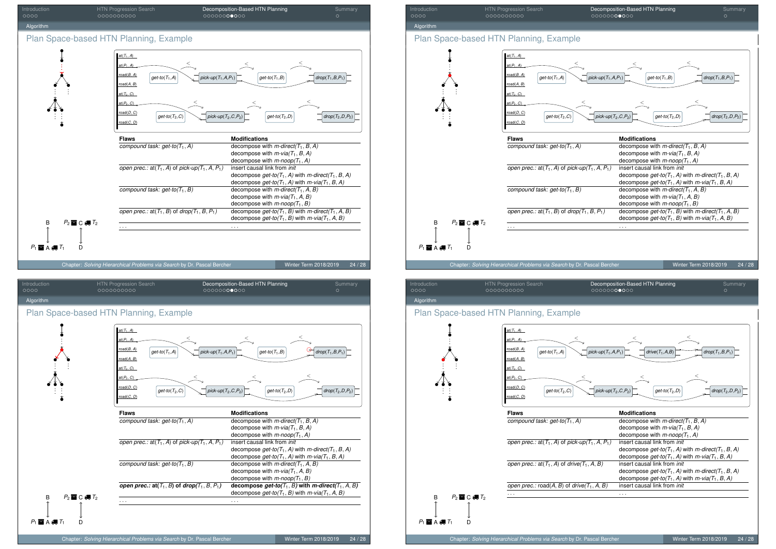





| Introduction | HTN Progression Search | Decomposition-Based HTN Planning | Summary |
|--------------|------------------------|----------------------------------|---------|
| 0000         | 0000000000             | 00000000000                      |         |
| Algorithm    |                        |                                  |         |

#### Plan Space-based HTN Planning, Example

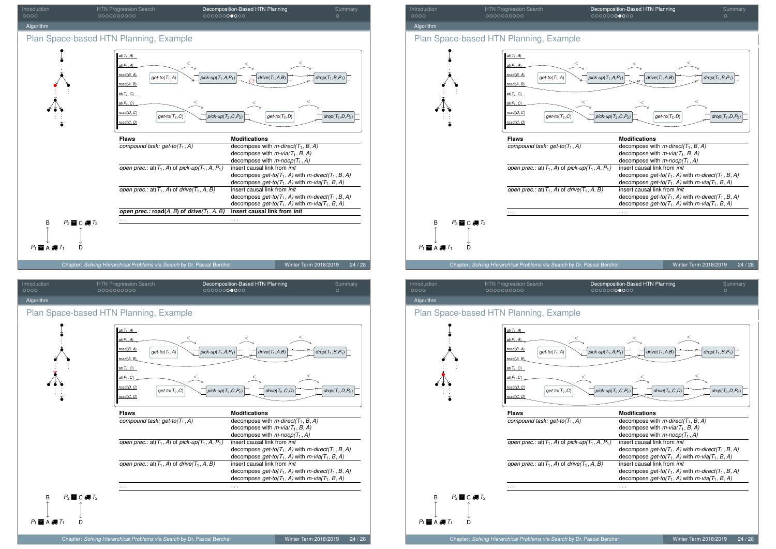







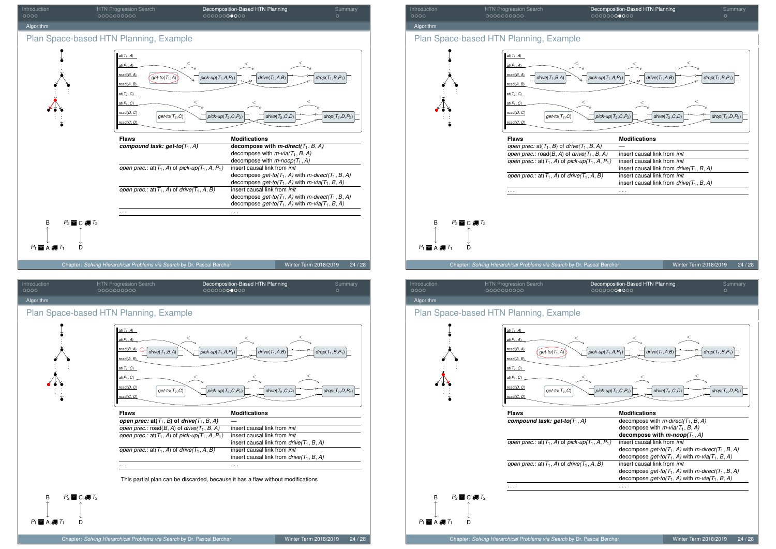





Introduction HTN Progression Search Decomposition-Based HTN Planning Summary Algorithm Plan Space-based HTN Planning, Example Chapter: *Solving Hierarchical Problems via Search* by Dr. Pascal Bercher Winter Term 2018/2019 24 / 28  $P_1 \blacksquare$  A  $\clubsuit$   $T_1$  D B  $P_2 \equiv C \equiv T_2$ at(*T*1, *A*) at(*P*1, *A*) oad(*B*, *A* road(*A*, *B*) at(*T*2, *C*)  $(D, C)$  $ad(D, C)$ road(*C*, *D*)  $\overrightarrow{pick-up}(T_1, A, P_1)$   $\overrightarrow{drive}(T_1, A, B)$   $\overrightarrow{drop(T_1, B, P_1)}$  $\lt$   $\lt$ *drive*(*T*1,*B*,*A*)  $\leq$  $g$ et-to(*T*<sub>2</sub>,*C*)  $\left| \bigvee_{p \in \mathcal{F}} f_p(c, P_p) \right|$   $\left| \bigvee_{p \in \mathcal{F}} f_p(c, P_p) \right|$   $\left| \bigvee_{p \in \mathcal{F}} f_p(c, P_p) \right|$   $\left| \bigvee_{p \in \mathcal{F}} f_p(c, P_p) \right|$  $\leq$  . The set of  $\leq$  and  $\leq$  and  $\leq$  and  $\leq$ . . . . . . . . . . . . . . . **Flaws** Modifications *open prec:*  $at(T_1, B)$  of  $drive(T_1, B, A)$  —<br>*open prec.*: road(B, A) of *drive*(T<sub>1</sub>, B, A) insert causal link from *init open prec.:*  $\text{road}(B, A)$  of  $\text{drive}(T_1, B, A)$  insert causal link from *init open prec.:*  $\text{at}(T_1, A)$  of *pick-up*( $T_1, A, P_1$ ) insert causal link from *init open prec.:*  $at(T_1, A)$  of *pick-up* $(T_1, A, P_1)$ insert causal link from  $\text{drive}(T_1, B, A)$ <br>insert causal link from *init open prec.:* at( $T_1$ , *A*) of *drive*( $T_1$ , *A*, *B*) insert causal link from *drive(T*1, *<sup>B</sup>*, *A)* . . . . . . Introduction HTN Progression Search Decomposition-Based HTN Planning Summary

Plan Space-based HTN Planning, Example

Algorithn

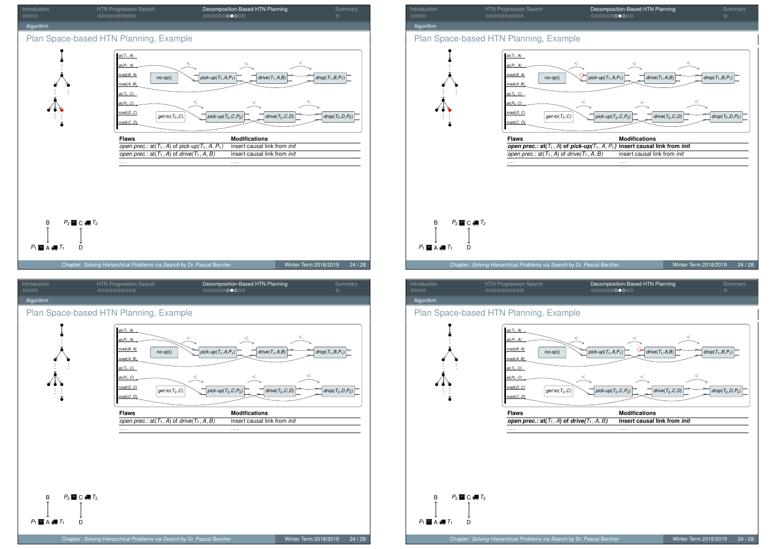



| Introduction | <b>HTN Progression Search</b> | Decomposition-Based HTN Planning | Summary |
|--------------|-------------------------------|----------------------------------|---------|
| 0000         | 0000000000                    | 00000000000                      |         |
| Algorithm    |                               |                                  |         |

#### Plan Space-based HTN Planning, Example

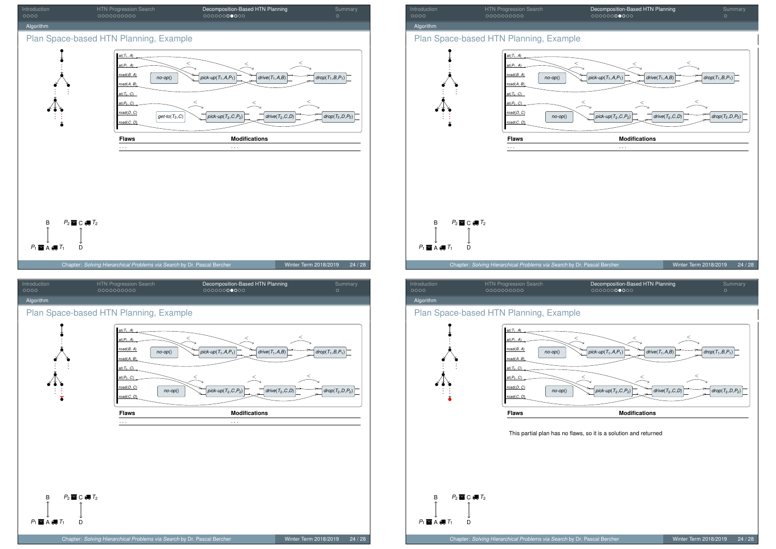





Introduction HTN Progression Search Decomposition-Based HTN Planning Summary



#### Plan Space-based HTN Planning, Example

. . .

. . .



This partial plan has no flaws, so it is a solution and returned